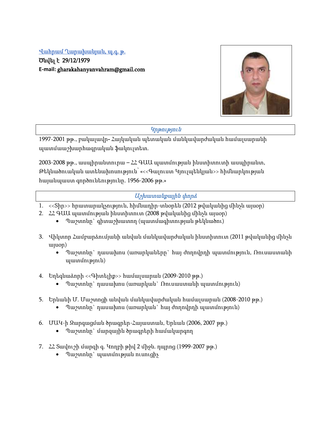## Վահրամ Ղարախանյան, պ.գ. թ.

Ծնվել է 29/12/1979 **E-mail:** gharakahanyanvahram@gmail.com



## Կրթություն

1997-2001 թթ., բակալավր- Հայկական պետական մանկավարժական համալսարանի պատմաաշխարհագրական ֆակուլտետ.

2003-2008 թթ., ասպիրանտուրա – ՀՀ ԳԱԱ պատմության ինստիտուտի ասպիրանտ, Թեկնածուական ատենախոսություն՝ «<<Գալուստ Կյուլպենկյան>> հիմնարկության հայանպաստ գործունեությունը. 1956-2006 թթ.»

# Աշխատանքային փորձ

- 1. <<Տիր>> հրատարակչություն, հիմնադիր-տնօրեն (2012 թվականից մինչև այսօր)
- 2. ՀՀ ԳԱԱ պատմության ինստիտուտ (2008 թվականից մինչև այսօր)
	- Պաշտոնը` գիտաշխատող (պատմագիտության թեկնածու)
- 3. Վիկտոր Համբարձումյանի անվան մանկավարժական ինստիտուտ (2011 թվականից մինչև այսօր)
	- Պաշտոնը` դասախոս (առարկաները` հայ ժողովրդի պատմություն, Ռուսաստանի պատմություն)
- 4. Եղեգնաձորի <<Գիտելիք>> համալսարան (2009-2010 թթ.)
	- Պաշտոնը` դասախոս (առարկան` Ռուսաստանի պատմություն)
- 5. Երևանի Մ. Մաշտոցի անվան մանկավարժական համալսարան (2008-2010 թթ.)
	- Պաշտոնը` դասախոս (առարկան` հայ ժողովրդի պատմություն)
- 6. ՄԱԿ-ի Զարգացման ծրագրեր-Հայաստան, Երևան (2006, 2007 թթ.)
	- Պաշտոնը` մարզային ծրագրերի համակարգող
- 7. ՀՀ Տավուշի մարզի գ. Կողբի թիվ 2 միջն. դպրոց (1999-2007 թթ.)
	- Պաշտոնը` պատմության ուսուցիչ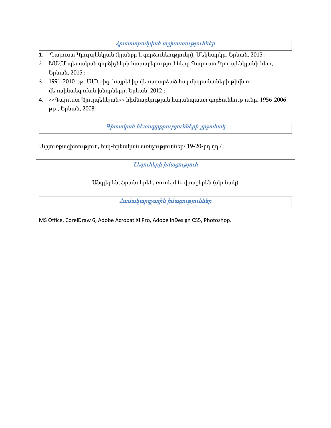Հրատարակված աշխատություններ

- 1. Գալուստ Կյուլպենկյան (կյանքը և գործունեությունը). Մեկնարկը, Երևան, 2015 :
- 2. ԽՍՀՄ պետական գործիչների հարաբերությունները Գալուստ Կյուլպենկյանի հետ, Երևան, 2015 :
- 3. 1991-2010 թթ. ԱՄՆ-ից հայրենիք վերադարձած հայ միգրանտների թիվն ու վերաինտեգրման խնդրները, Երևան, 2012 :
- 4. <<Գալուստ Կյուլպենկյան>> հիմնարկության հայանպաստ գործունեությունը. 1956-2006 թթ., Երևան, 2008:

Գիտական հետաքրքրությունների շրջանակ

Սփյուռքագիտություն, հայ-հրեական առնչություններ/ 19-20-րդ դդ./ :

Լեզուների իմացություն

Անգլերեն, ֆրանսերեն, ռուսերեն, վրացերեն (սկսնակ)

Համակարգչային իմացություններ

MS Office, CorelDraw 6, Adobe Acrobat XI Pro, Adobe InDesign CS5, Photoshop.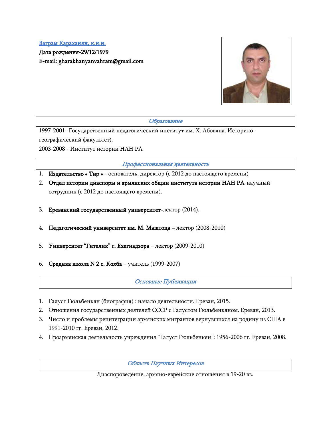# Ваграм Караханян, к.и.н. Дата рождения-29/12/1979 E-mail: gharakhanyanvahram@gmail.com



Образование

1997-2001- Государственный педагогический институт им. Х. Абовяна. Историкогеографический факультет). 2003-2008 - Институт истории НАН РА

Профессиональная деятельность

- 1. Издательство « Тир » основатель, директор (с 2012 до настоящего времени)
- 2. Отдел истории диаспоры и армянских общин института истории НАН РА-научный сотрудник (с 2012 до настоящего времени).
- 3. Ереванский государственный университет-лектор (2014).
- 4. Педагогический университет им. М. Маштоца лектор (2008-2010)
- 5. Университет "Гителик" г. Ехегнадзора лектор (2009-2010)
- 6. Средняя школа N 2 с. Кохба учитель (1999-2007)

Основные Публикации

- 1. Галуст Гюльбенкян (биография) : начало деятельности. Ереван, 2015.
- 2. Отношения государственных деятелей СССР с Галустом Гюльбенкяном. Ереван, 2013.
- 3. Число и проблемы реинтеграции армянских мигрантов вернувшихся на родину из США в 1991-2010 гг. Ереван, 2012.
- 4. Проармянская деятельность учреждения "Галуст Гюльбенкян": 1956-2006 гг. Ереван, 2008.

Область Научных Интересов

Диаспороведение, армяно-еврейские отношения в 19-20 вв.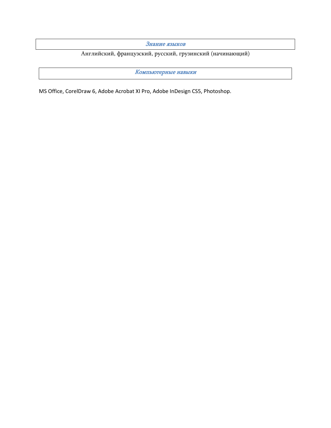Знание языков

Английский, французский, русский, грузинский (начинающий)

Компьютерные навыки

MS Office, CorelDraw 6, Adobe Acrobat XI Pro, Adobe InDesign CS5, Photoshop.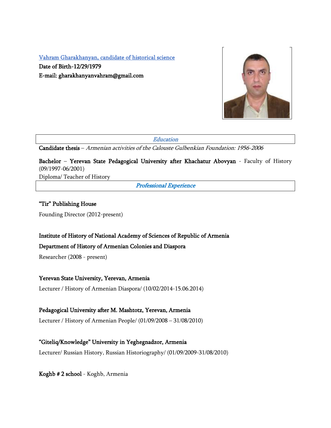Vahram Gharakhanyan, candidate of historical science

Date of Birth-12/29/1979 E-mail: gharakhanyanvahram@gmail.com



**Education** 

Candidate thesis – Armenian activities of the Calouste Gulbenkian Foundation: 1956-2006

Bachelor – Yerevan State Pedagogical University after Khachatur Abovyan - Faculty of History (09/1997-06/2001)

Diploma/ Teacher of History

Professional Experience

## "Tir" Publishing House

Founding Director (2012-present)

## Institute of History of National Academy of Sciences of Republic of Armenia

#### Department of History of Armenian Colonies and Diaspora

Researcher (2008 - present)

## Yerevan State University, Yerevan, Armenia

Lecturer / History of Armenian Diaspora/ (10/02/2014-15.06.2014)

## Pedagogical University after M. Mashtotz, Yerevan, Armenia

Lecturer / History of Armenian People/ (01/09/2008 – 31/08/2010)

## "Giteliq/Knowledge" University in Yeghegnadzor, Armenia

Lecturer/ Russian History, Russian Historiography/ (01/09/2009-31/08/2010)

Koghb # 2 school - Koghb, Armenia